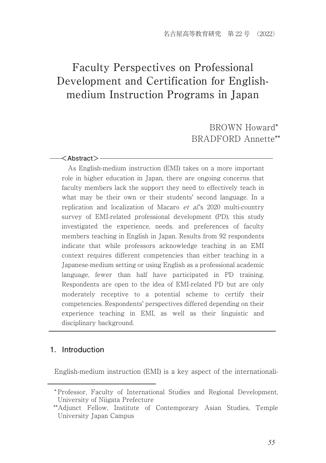# Faculty Perspectives on Professional Development and Certification for Englishmedium Instruction Programs in Japan

 BROWN Howard\* BRADFORD Annette\*\*

#### $-\times$ Abstract $>$ -

 As English-medium instruction (EMI) takes on a more important role in higher education in Japan, there are ongoing concerns that faculty members lack the support they need to effectively teach in what may be their own or their students' second language. In a replication and localization of Macaro *et al*'s 2020 multi-country survey of EMI-related professional development (PD), this study investigated the experience, needs, and preferences of faculty members teaching in English in Japan. Results from 92 respondents indicate that while professors acknowledge teaching in an EMI context requires different competencies than either teaching in a Japanese-medium setting or using English as a professional academic language, fewer than half have participated in PD training. Respondents are open to the idea of EMI-related PD but are only moderately receptive to a potential scheme to certify their competencies. Respondents' perspectives differed depending on their experience teaching in EMI, as well as their linguistic and disciplinary background.

## **1.Introduction**

English-medium instruction (EMI) is a key aspect of the internationali-

<sup>\*</sup> Professor, Faculty of International Studies and Regional Development, University of Niigata Prefecture

 <sup>\*\*</sup>Adjunct Fellow, Institute of Contemporary Asian Studies, Temple University Japan Campus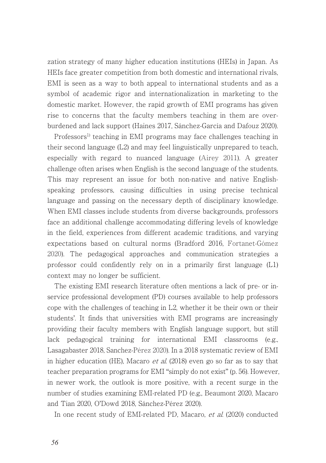zation strategy of many higher education institutions (HEIs) in Japan. As HEIs face greater competition from both domestic and international rivals, EMI is seen as a way to both appeal to international students and as a symbol of academic rigor and internationalization in marketing to the domestic market. However, the rapid growth of EMI programs has given rise to concerns that the faculty members teaching in them are overburdened and lack support (Haines 2017, Sánchez-García and Dafouz 2020).

Professors<sup>1)</sup> teaching in EMI programs may face challenges teaching in their second language (L2) and may feel linguistically unprepared to teach, especially with regard to nuanced language (Airey 2011). A greater challenge often arises when English is the second language of the students. This may represent an issue for both non-native and native Englishspeaking professors, causing difficulties in using precise technical language and passing on the necessary depth of disciplinary knowledge. When EMI classes include students from diverse backgrounds, professors face an additional challenge accommodating differing levels of knowledge in the field, experiences from different academic traditions, and varying expectations based on cultural norms (Bradford 2016, Fortanet-Gómez 2020). The pedagogical approaches and communication strategies a professor could confidently rely on in a primarily first language (L1) context may no longer be sufficient.

The existing EMI research literature often mentions a lack of pre- or inservice professional development (PD) courses available to help professors cope with the challenges of teaching in L2, whether it be their own or their students'. It finds that universities with EMI programs are increasingly providing their faculty members with English language support, but still lack pedagogical training for international EMI classrooms (e.g., Lasagabaster 2018, Sanchez-Pérez 2020). In a 2018 systematic review of EMI in higher education (HE). Macaro *et al.* (2018) even go so far as to say that teacher preparation programs for EMI "simply do not exist" (p. 56). However, in newer work, the outlook is more positive, with a recent surge in the number of studies examining EMI-related PD (e.g., Beaumont 2020, Macaro and Tian 2020, O'Dowd 2018, Sánchez-Pérez 2020).

In one recent study of EMI-related PD, Macaro, et al. (2020) conducted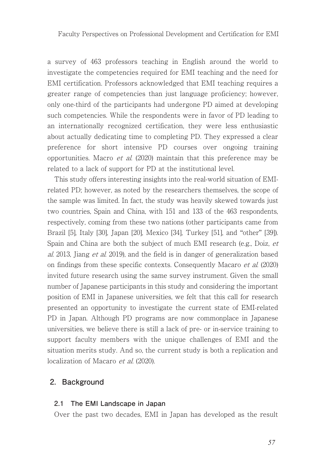a survey of 463 professors teaching in English around the world to investigate the competencies required for EMI teaching and the need for EMI certification. Professors acknowledged that EMI teaching requires a greater range of competencies than just language proficiency; however, only one-third of the participants had undergone PD aimed at developing such competencies. While the respondents were in favor of PD leading to an internationally recognized certification, they were less enthusiastic about actually dedicating time to completing PD. They expressed a clear preference for short intensive PD courses over ongoing training opportunities. Macro et al. (2020) maintain that this preference may be related to a lack of support for PD at the institutional level.

This study offers interesting insights into the real-world situation of EMIrelated PD; however, as noted by the researchers themselves, the scope of the sample was limited. In fact, the study was heavily skewed towards just two countries, Spain and China, with 151 and 133 of the 463 respondents, respectively, coming from these two nations (other participants came from Brazil [5], Italy [30], Japan [20], Mexico [34], Turkey [51], and "other" [39]). Spain and China are both the subject of much EMI research (e.g., Doiz, et al. 2013, Jiang et al. 2019), and the field is in danger of generalization based on findings from these specific contexts. Consequently Macaro et al. (2020) invited future research using the same survey instrument. Given the small number of Japanese participants in this study and considering the important position of EMI in Japanese universities, we felt that this call for research presented an opportunity to investigate the current state of EMI-related PD in Japan. Although PD programs are now commonplace in Japanese universities, we believe there is still a lack of pre- or in-service training to support faculty members with the unique challenges of EMI and the situation merits study. And so, the current study is both a replication and localization of Macaro et al. (2020).

## **2.Background**

#### **2.1 The EMI Landscape in Japan**

Over the past two decades, EMI in Japan has developed as the result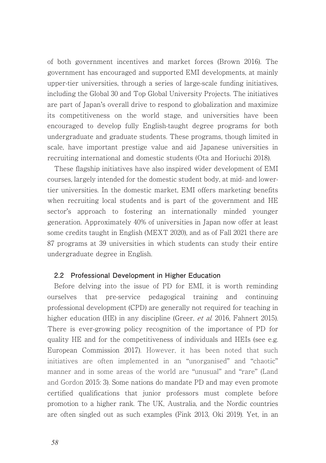of both government incentives and market forces (Brown 2016). The government has encouraged and supported EMI developments, at mainly upper-tier universities, through a series of large-scale funding initiatives, including the Global 30 and Top Global University Projects. The initiatives are part of Japan's overall drive to respond to globalization and maximize its competitiveness on the world stage, and universities have been encouraged to develop fully English-taught degree programs for both undergraduate and graduate students. These programs, though limited in scale, have important prestige value and aid Japanese universities in recruiting international and domestic students (Ota and Horiuchi 2018).

These flagship initiatives have also inspired wider development of EMI courses, largely intended for the domestic student body, at mid- and lowertier universities. In the domestic market, EMI offers marketing benefits when recruiting local students and is part of the government and HE sector's approach to fostering an internationally minded younger generation. Approximately 40% of universities in Japan now offer at least some credits taught in English (MEXT 2020), and as of Fall 2021 there are 87 programs at 39 universities in which students can study their entire undergraduate degree in English.

#### **2.2 Professional Development in Higher Education**

Before delving into the issue of PD for EMI, it is worth reminding ourselves that pre-service pedagogical training and continuing professional development (CPD) are generally not required for teaching in higher education (HE) in any discipline (Greer, *et al.* 2016, Fahnert 2015). There is ever-growing policy recognition of the importance of PD for quality HE and for the competitiveness of individuals and HEIs (see e.g. European Commission 2017). However, it has been noted that such initiatives are often implemented in an "unorganised" and "chaotic" manner and in some areas of the world are "unusual" and "rare" (Land and Gordon 2015: 3). Some nations do mandate PD and may even promote certified qualifications that junior professors must complete before promotion to a higher rank. The UK, Australia, and the Nordic countries are often singled out as such examples (Fink 2013, Oki 2019). Yet, in an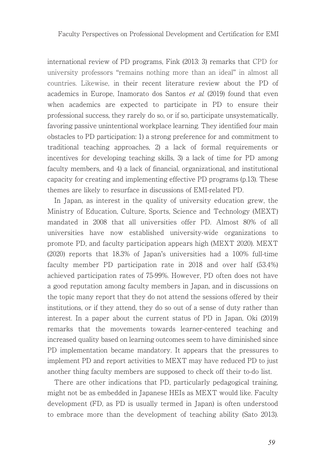international review of PD programs, Fink (2013: 3) remarks that CPD for university professors "remains nothing more than an ideal" in almost all countries. Likewise, in their recent literature review about the PD of academics in Europe, Inamorato dos Santos et al. (2019) found that even when academics are expected to participate in PD to ensure their professional success, they rarely do so, or if so, participate unsystematically, favoring passive unintentional workplace learning. They identified four main obstacles to PD participation: 1) a strong preference for and commitment to traditional teaching approaches, 2) a lack of formal requirements or incentives for developing teaching skills, 3) a lack of time for PD among faculty members, and 4) a lack of financial, organizational, and institutional capacity for creating and implementing effective PD programs (p.13). These themes are likely to resurface in discussions of EMI-related PD.

In Japan, as interest in the quality of university education grew, the Ministry of Education, Culture, Sports, Science and Technology (MEXT) mandated in 2008 that all universities offer PD. Almost 80% of all universities have now established university-wide organizations to promote PD, and faculty participation appears high (MEXT 2020). MEXT (2020) reports that 18.3% of Japan's universities had a 100% full-time faculty member PD participation rate in 2018 and over half (53.4%) achieved participation rates of 75-99%. However, PD often does not have a good reputation among faculty members in Japan, and in discussions on the topic many report that they do not attend the sessions offered by their institutions, or if they attend, they do so out of a sense of duty rather than interest. In a paper about the current status of PD in Japan, Oki (2019) remarks that the movements towards learner-centered teaching and increased quality based on learning outcomes seem to have diminished since PD implementation became mandatory. It appears that the pressures to implement PD and report activities to MEXT may have reduced PD to just another thing faculty members are supposed to check off their to-do list.

There are other indications that PD, particularly pedagogical training, might not be as embedded in Japanese HEIs as MEXT would like. Faculty development (FD, as PD is usually termed in Japan) is often understood to embrace more than the development of teaching ability (Sato 2013).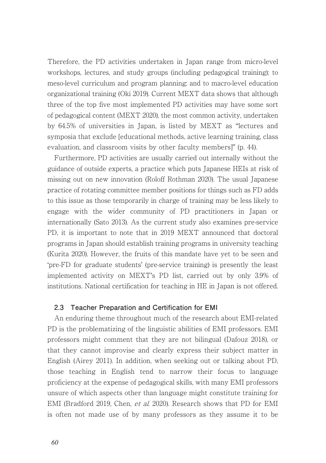Therefore, the PD activities undertaken in Japan range from micro-level workshops, lectures, and study groups (including pedagogical training); to meso-level curriculum and program planning; and to macro-level education organizational training (Oki 2019). Current MEXT data shows that although three of the top five most implemented PD activities may have some sort of pedagogical content (MEXT 2020), the most common activity, undertaken by 64.5% of universities in Japan, is listed by MEXT as "lectures and symposia that exclude [educational methods, active learning training, class evaluation, and classroom visits by other faculty members]" (p. 44).

Furthermore, PD activities are usually carried out internally without the guidance of outside experts, a practice which puts Japanese HEIs at risk of missing out on new innovation (Roloff Rothman 2020). The usual Japanese practice of rotating committee member positions for things such as FD adds to this issue as those temporarily in charge of training may be less likely to engage with the wider community of PD practitioners in Japan or internationally (Sato 2013). As the current study also examines pre-service PD, it is important to note that in 2019 MEXT announced that doctoral programs in Japan should establish training programs in university teaching (Kurita 2020). However, the fruits of this mandate have yet to be seen and 'pre-FD for graduate students' (pre-service training) is presently the least implemented activity on MEXT's PD list, carried out by only 3.9% of institutions. National certification for teaching in HE in Japan is not offered.

#### **2.3 Teacher Preparation and Certification for EMI**

An enduring theme throughout much of the research about EMI-related PD is the problematizing of the linguistic abilities of EMI professors. EMI professors might comment that they are not bilingual (Dafouz 2018), or that they cannot improvise and clearly express their subject matter in English (Airey 2011). In addition, when seeking out or talking about PD, those teaching in English tend to narrow their focus to language proficiency at the expense of pedagogical skills, with many EMI professors unsure of which aspects other than language might constitute training for EMI (Bradford 2019, Chen, et al. 2020). Research shows that PD for EMI is often not made use of by many professors as they assume it to be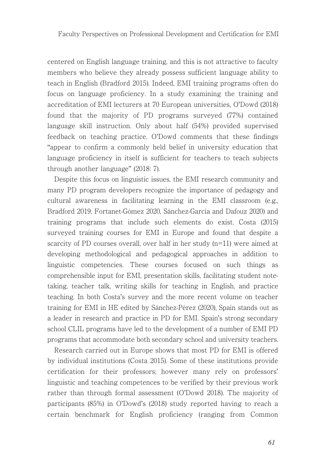centered on English language training, and this is not attractive to faculty members who believe they already possess sufficient language ability to teach in English (Bradford 2015). Indeed, EMI training programs often do focus on language proficiency. In a study examining the training and accreditation of EMI lecturers at 70 European universities, O'Dowd (2018) found that the majority of PD programs surveyed (77%) contained language skill instruction. Only about half (54%) provided supervised feedback on teaching practice. O'Dowd comments that these findings "appear to confirm a commonly held belief in university education that language proficiency in itself is sufficient for teachers to teach subjects through another language" (2018: 7).

Despite this focus on linguistic issues, the EMI research community and many PD program developers recognize the importance of pedagogy and cultural awareness in facilitating learning in the EMI classroom (e.g., Bradford 2019, Fortanet-Gómez 2020, Sánchez-García and Dafouz 2020) and training programs that include such elements do exist. Costa (2015) surveyed training courses for EMI in Europe and found that despite a scarcity of PD courses overall, over half in her study (n=11) were aimed at developing methodological and pedagogical approaches in addition to linguistic competencies. These courses focused on such things as comprehensible input for EMI, presentation skills, facilitating student notetaking, teacher talk, writing skills for teaching in English, and practice teaching. In both Costa's survey and the more recent volume on teacher training for EMI in HE edited by Sánchez-Pérez (2020), Spain stands out as a leader in research and practice in PD for EMI. Spain's strong secondary school CLIL programs have led to the development of a number of EMI PD programs that accommodate both secondary school and university teachers.

Research carried out in Europe shows that most PD for EMI is offered by individual institutions (Costa 2015). Some of these institutions provide certification for their professors; however many rely on professors' linguistic and teaching competences to be verified by their previous work rather than through formal assessment (O'Dowd 2018). The majority of participants (85%) in O'Dowd's (2018) study reported having to reach a certain benchmark for English proficiency (ranging from Common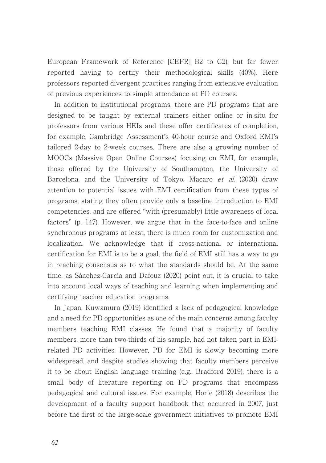European Framework of Reference [CEFR] B2 to C2), but far fewer reported having to certify their methodological skills (40%). Here professors reported divergent practices ranging from extensive evaluation of previous experiences to simple attendance at PD courses.

In addition to institutional programs, there are PD programs that are designed to be taught by external trainers either online or in-situ for professors from various HEIs and these offer certificates of completion, for example, Cambridge Assessment's 40-hour course and Oxford EMI's tailored 2-day to 2-week courses. There are also a growing number of MOOCs (Massive Open Online Courses) focusing on EMI, for example, those offered by the University of Southampton, the University of Barcelona, and the University of Tokyo. Macaro et al. (2020) draw attention to potential issues with EMI certification from these types of programs, stating they often provide only a baseline introduction to EMI competencies, and are offered "with (presumably) little awareness of local factors" (p. 147). However, we argue that in the face-to-face and online synchronous programs at least, there is much room for customization and localization. We acknowledge that if cross-national or international certification for EMI is to be a goal, the field of EMI still has a way to go in reaching consensus as to what the standards should be. At the same time, as Sánchez-García and Dafouz (2020) point out, it is crucial to take into account local ways of teaching and learning when implementing and certifying teacher education programs.

In Japan, Kuwamura (2019) identified a lack of pedagogical knowledge and a need for PD opportunities as one of the main concerns among faculty members teaching EMI classes. He found that a majority of faculty members, more than two-thirds of his sample, had not taken part in EMIrelated PD activities. However, PD for EMI is slowly becoming more widespread, and despite studies showing that faculty members perceive it to be about English language training (e.g., Bradford 2019), there is a small body of literature reporting on PD programs that encompass pedagogical and cultural issues. For example, Horie (2018) describes the development of a faculty support handbook that occurred in 2007, just before the first of the large-scale government initiatives to promote EMI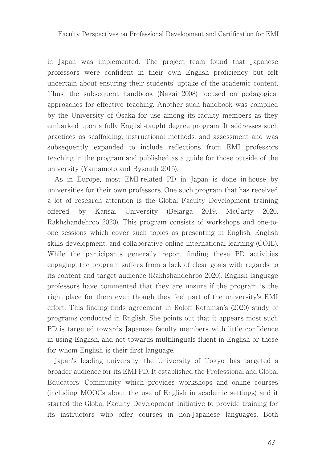in Japan was implemented. The project team found that Japanese professors were confident in their own English proficiency but felt uncertain about ensuring their students' uptake of the academic content. Thus, the subsequent handbook (Nakai 2008) focused on pedagogical approaches for effective teaching. Another such handbook was compiled by the University of Osaka for use among its faculty members as they embarked upon a fully English-taught degree program. It addresses such practices as scaffolding, instructional methods, and assessment and was subsequently expanded to include reflections from EMI professors teaching in the program and published as a guide for those outside of the university (Yamamoto and Bysouth 2015).

As in Europe, most EMI-related PD in Japan is done in-house by universities for their own professors. One such program that has received a lot of research attention is the Global Faculty Development training offered by Kansai University (Belarga 2019, McCarty 2020, Rakhshandehroo 2020). This program consists of workshops and one-toone sessions which cover such topics as presenting in English, English skills development, and collaborative online international learning (COIL). While the participants generally report finding these PD activities engaging, the program suffers from a lack of clear goals with regards to its content and target audience (Rakhshandehroo 2020). English language professors have commented that they are unsure if the program is the right place for them even though they feel part of the university's EMI effort. This finding finds agreement in Roloff Rothman's (2020) study of programs conducted in English. She points out that it appears most such PD is targeted towards Japanese faculty members with little confidence in using English, and not towards multilinguals fluent in English or those for whom English is their first language.

Japan's leading university, the University of Tokyo, has targeted a broader audience for its EMI PD. It established the Professional and Global Educators' Community which provides workshops and online courses (including MOOCs about the use of English in academic settings) and it started the Global Faculty Development Initiative to provide training for its instructors who offer courses in non-Japanese languages. Both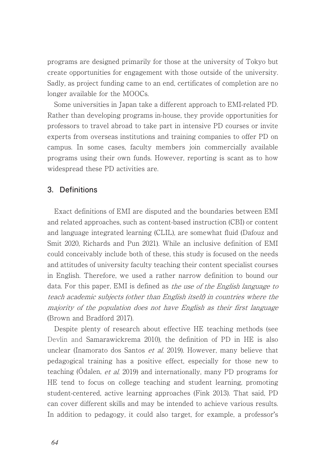programs are designed primarily for those at the university of Tokyo but create opportunities for engagement with those outside of the university. Sadly, as project funding came to an end, certificates of completion are no longer available for the MOOCs.

Some universities in Japan take a different approach to EMI-related PD. Rather than developing programs in-house, they provide opportunities for professors to travel abroad to take part in intensive PD courses or invite experts from overseas institutions and training companies to offer PD on campus. In some cases, faculty members join commercially available programs using their own funds. However, reporting is scant as to how widespread these PD activities are.

## **3.Definitions**

Exact definitions of EMI are disputed and the boundaries between EMI and related approaches, such as content-based instruction (CBI) or content and language integrated learning (CLIL), are somewhat fluid (Dafouz and Smit 2020, Richards and Pun 2021). While an inclusive definition of EMI could conceivably include both of these, this study is focused on the needs and attitudes of university faculty teaching their content specialist courses in English. Therefore, we used a rather narrow definition to bound our data. For this paper, EMI is defined as the use of the English language to teach academic subjects (other than English itself) in countries where the majority of the population does not have English as their first language (Brown and Bradford 2017).

Despite plenty of research about effective HE teaching methods (see Devlin and Samarawickrema 2010), the definition of PD in HE is also unclear (Inamorato dos Santos et al. 2019). However, many believe that pedagogical training has a positive effect, especially for those new to teaching (Ödalen, et al. 2019) and internationally, many PD programs for HE tend to focus on college teaching and student learning, promoting student-centered, active learning approaches (Fink 2013). That said, PD can cover different skills and may be intended to achieve various results. In addition to pedagogy, it could also target, for example, a professor's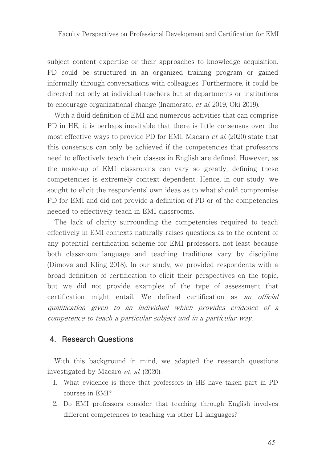subject content expertise or their approaches to knowledge acquisition. PD could be structured in an organized training program or gained informally through conversations with colleagues. Furthermore, it could be directed not only at individual teachers but at departments or institutions to encourage organizational change (Inamorato, et al. 2019, Oki 2019).

With a fluid definition of EMI and numerous activities that can comprise PD in HE, it is perhaps inevitable that there is little consensus over the most effective ways to provide PD for EMI. Macaro et al. (2020) state that this consensus can only be achieved if the competencies that professors need to effectively teach their classes in English are defined. However, as the make-up of EMI classrooms can vary so greatly, defining these competencies is extremely context dependent. Hence, in our study, we sought to elicit the respondents' own ideas as to what should compromise PD for EMI and did not provide a definition of PD or of the competencies needed to effectively teach in EMI classrooms.

The lack of clarity surrounding the competencies required to teach effectively in EMI contexts naturally raises questions as to the content of any potential certification scheme for EMI professors, not least because both classroom language and teaching traditions vary by discipline (Dimova and Kling 2018). In our study, we provided respondents with a broad definition of certification to elicit their perspectives on the topic, but we did not provide examples of the type of assessment that certification might entail. We defined certification as an official qualification given to an individual which provides evidence of a competence to teach a particular subject and in a particular way.

## **4.Research Questions**

With this background in mind, we adapted the research questions investigated by Macaro *et. al.* (2020):

- 1. What evidence is there that professors in HE have taken part in PD courses in EMI?
- 2. Do EMI professors consider that teaching through English involves different competences to teaching via other L1 languages?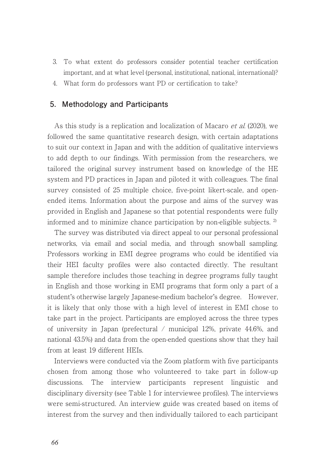- 3. To what extent do professors consider potential teacher certification important, and at what level (personal, institutional, national, international)?
- 4. What form do professors want PD or certification to take?

### **5.Methodology and Participants**

As this study is a replication and localization of Macaro et al. (2020), we followed the same quantitative research design, with certain adaptations to suit our context in Japan and with the addition of qualitative interviews to add depth to our findings. With permission from the researchers, we tailored the original survey instrument based on knowledge of the HE system and PD practices in Japan and piloted it with colleagues. The final survey consisted of 25 multiple choice, five-point likert-scale, and openended items. Information about the purpose and aims of the survey was provided in English and Japanese so that potential respondents were fully informed and to minimize chance participation by non-eligible subjects. 2)

The survey was distributed via direct appeal to our personal professional networks, via email and social media, and through snowball sampling. Professors working in EMI degree programs who could be identified via their HEI faculty profiles were also contacted directly. The resultant sample therefore includes those teaching in degree programs fully taught in English and those working in EMI programs that form only a part of a student's otherwise largely Japanese-medium bachelor's degree. However, it is likely that only those with a high level of interest in EMI chose to take part in the project. Participants are employed across the three types of university in Japan (prefectural / municipal 12%, private 44.6%, and national 43.5%) and data from the open-ended questions show that they hail from at least 19 different HEIs.

Interviews were conducted via the Zoom platform with five participants chosen from among those who volunteered to take part in follow-up discussions. The interview participants represent linguistic and disciplinary diversity (see Table 1 for interviewee profiles). The interviews were semi-structured. An interview guide was created based on items of interest from the survey and then individually tailored to each participant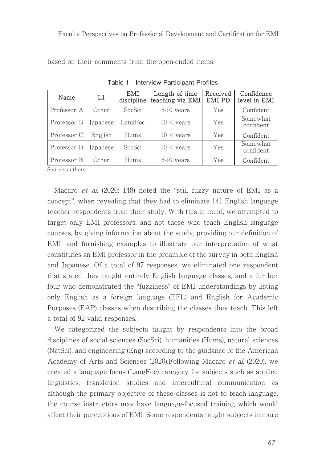| Name        | $_{\rm L1}$     | EMI<br>discipline | Length of time<br>teaching via EMI | Received<br>EMI PD | Confidence<br>level in EMI |
|-------------|-----------------|-------------------|------------------------------------|--------------------|----------------------------|
| Professor A | Other           | SocSci            | 5-10 years                         | Yes                | Confident                  |
| Professor B | <b>Japanese</b> | LangFoc           | $10 <$ years                       | Yes                | Somewhat<br>confident      |
| Professor C | English         | Hums              | $10 <$ years                       | Yes                | Confident                  |
| Professor D | <b>Japanese</b> | SocSci            | $10 < \text{years}$                | Yes                | Somewhat<br>confident      |
| Professor E | Other           | Hums              | 5-10 years                         | Yes                | Confident                  |

Table 1 Interview Participant Profiles

based on their comments from the open-ended items.

Source: authors

Macaro et al. (2020: 148) noted the "still fuzzy nature of EMI as a concept", when revealing that they had to eliminate 141 English language teacher respondents from their study. With this in mind, we attempted to target only EMI professors, and not those who teach English language courses, by giving information about the study, providing our definition of EMI, and furnishing examples to illustrate our interpretation of what constitutes an EMI professor in the preamble of the survey in both English and Japanese. Of a total of 97 responses, we eliminated one respondent that stated they taught entirely English language classes, and a further four who demonstrated the "fuzziness" of EMI understandings by listing only English as a foreign language (EFL) and English for Academic Purposes (EAP) classes when describing the classes they teach. This left a total of 92 valid responses.

We categorized the subjects taught by respondents into the broad disciplines of social sciences (SocSci), humanities (Hums), natural sciences (NatSci), and engineering (Eng) according to the guidance of the American Academy of Arts and Sciences (2020).Following Macaro et al. (2020), we created a language focus (LangFoc) category for subjects such as applied linguistics, translation studies and intercultural communication as although the primary objective of these classes is not to teach language, the course instructors may have language-focused training which would affect their perceptions of EMI. Some respondents taught subjects in more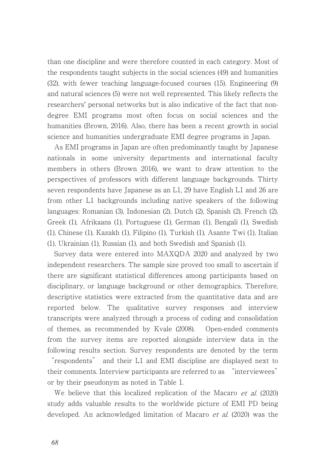than one discipline and were therefore counted in each category. Most of the respondents taught subjects in the social sciences (49) and humanities (32), with fewer teaching language-focused courses (15). Engineering (9) and natural sciences (5) were not well represented. This likely reflects the researchers' personal networks but is also indicative of the fact that nondegree EMI programs most often focus on social sciences and the humanities (Brown, 2016). Also, there has been a recent growth in social science and humanities undergraduate EMI degree programs in Japan.

As EMI programs in Japan are often predominantly taught by Japanese nationals in some university departments and international faculty members in others (Brown 2016), we want to draw attention to the perspectives of professors with different language backgrounds. Thirty seven respondents have Japanese as an L1, 29 have English L1 and 26 are from other L1 backgrounds including native speakers of the following languages: Romanian (3), Indonesian (2), Dutch (2), Spanish (2), French (2), Greek (1), Afrikaans (1), Portuguese (1), German (1), Bengali (1), Swedish (1), Chinese (1), Kazakh (1), Filipino (1), Turkish (1), Asante Twi (1), Italian (1), Ukrainian (1), Russian (1), and both Swedish and Spanish (1).

Survey data were entered into MAXQDA 2020 and analyzed by two independent researchers. The sample size proved too small to ascertain if there are significant statistical differences among participants based on disciplinary, or language background or other demographics. Therefore, descriptive statistics were extracted from the quantitative data and are reported below. The qualitative survey responses and interview transcripts were analyzed through a process of coding and consolidation of themes, as recommended by Kvale (2008). Open-ended comments from the survey items are reported alongside interview data in the following results section. Survey respondents are denoted by the term

"respondents" and their L1 and EMI discipline are displayed next to their comments. Interview participants are referred to as "interviewees" or by their pseudonym as noted in Table 1.

We believe that this localized replication of the Macaro *et al.* (2020) study adds valuable results to the worldwide picture of EMI PD being developed. An acknowledged limitation of Macaro *et al.* (2020) was the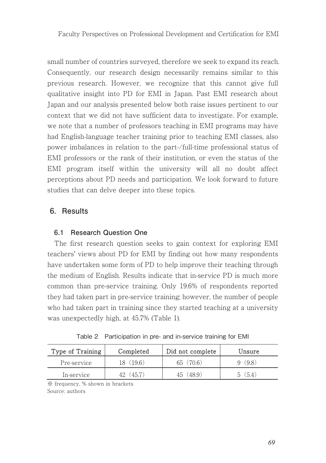small number of countries surveyed, therefore we seek to expand its reach. Consequently, our research design necessarily remains similar to this previous research. However, we recognize that this cannot give full qualitative insight into PD for EMI in Japan. Past EMI research about Japan and our analysis presented below both raise issues pertinent to our context that we did not have sufficient data to investigate. For example, we note that a number of professors teaching in EMI programs may have had English-language teacher training prior to teaching EMI classes, also power imbalances in relation to the part-/full-time professional status of EMI professors or the rank of their institution, or even the status of the EMI program itself within the university will all no doubt affect perceptions about PD needs and participation. We look forward to future studies that can delve deeper into these topics.

## **6.Results**

## **6.1 Research Question One**

The first research question seeks to gain context for exploring EMI teachers' views about PD for EMI by finding out how many respondents have undertaken some form of PD to help improve their teaching through the medium of English. Results indicate that in-service PD is much more common than pre-service training. Only 19.6% of respondents reported they had taken part in pre-service training; however, the number of people who had taken part in training since they started teaching at a university was unexpectedly high, at 45.7% (Table 1).

| Type of Training | Completed | Did not complete | Unsure |
|------------------|-----------|------------------|--------|
| Pre-service      | (19.6)    | (706)<br>65      | (9.8)  |
| In-service       | .457      | (489)            | (5.4   |

|  | Table 2 Participation in pre- and in-service training for EMI |  |  |  |  |  |  |
|--|---------------------------------------------------------------|--|--|--|--|--|--|
|--|---------------------------------------------------------------|--|--|--|--|--|--|

䈜 frequency, % shown in brackets

Source: authors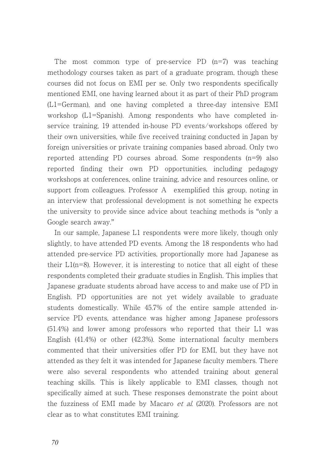The most common type of pre-service PD (n=7) was teaching methodology courses taken as part of a graduate program, though these courses did not focus on EMI per se. Only two respondents specifically mentioned EMI, one having learned about it as part of their PhD program (L1=German), and one having completed a three-day intensive EMI workshop (L1=Spanish). Among respondents who have completed inservice training, 19 attended in-house PD events/workshops offered by their own universities, while five received training conducted in Japan by foreign universities or private training companies based abroad. Only two reported attending PD courses abroad. Some respondents (n=9) also reported finding their own PD opportunities, including pedagogy workshops at conferences, online training, advice and resources online, or support from colleagues. Professor A exemplified this group, noting in an interview that professional development is not something he expects the university to provide since advice about teaching methods is "only a Google search away."

In our sample, Japanese L1 respondents were more likely, though only slightly, to have attended PD events. Among the 18 respondents who had attended pre-service PD activities, proportionally more had Japanese as their  $L1(n=8)$ . However, it is interesting to notice that all eight of these respondents completed their graduate studies in English. This implies that Japanese graduate students abroad have access to and make use of PD in English. PD opportunities are not yet widely available to graduate students domestically. While 45.7% of the entire sample attended inservice PD events, attendance was higher among Japanese professors (51.4%) and lower among professors who reported that their L1 was English (41.4%) or other (42.3%). Some international faculty members commented that their universities offer PD for EMI, but they have not attended as they felt it was intended for Japanese faculty members. There were also several respondents who attended training about general teaching skills. This is likely applicable to EMI classes, though not specifically aimed at such. These responses demonstrate the point about the fuzziness of EMI made by Macaro et al. (2020). Professors are not clear as to what constitutes EMI training.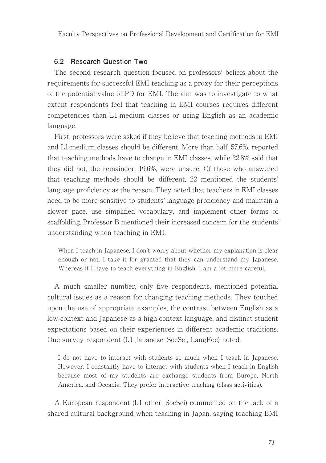### **6.2 Research Question Two**

The second research question focused on professors' beliefs about the requirements for successful EMI teaching as a proxy for their perceptions of the potential value of PD for EMI. The aim was to investigate to what extent respondents feel that teaching in EMI courses requires different competencies than L1-medium classes or using English as an academic language.

First, professors were asked if they believe that teaching methods in EMI and L1-medium classes should be different. More than half, 57.6%, reported that teaching methods have to change in EMI classes, while 22.8% said that they did not, the remainder, 19.6%, were unsure. Of those who answered that teaching methods should be different, 22 mentioned the students' language proficiency as the reason. They noted that teachers in EMI classes need to be more sensitive to students' language proficiency and maintain a slower pace, use simplified vocabulary, and implement other forms of scaffolding. Professor B mentioned their increased concern for the students' understanding when teaching in EMI,

When I teach in Japanese, I don't worry about whether my explanation is clear enough or not. I take it for granted that they can understand my Japanese. Whereas if I have to teach everything in English, I am a lot more careful.

A much smaller number, only five respondents, mentioned potential cultural issues as a reason for changing teaching methods. They touched upon the use of appropriate examples, the contrast between English as a low-context and Japanese as a high-context language, and distinct student expectations based on their experiences in different academic traditions. One survey respondent (L1 Japanese, SocSci, LangFoc) noted:

I do not have to interact with students so much when I teach in Japanese. However, I constantly have to interact with students when I teach in English because most of my students are exchange students from Europe, North America, and Oceania. They prefer interactive teaching (class activities).

A European respondent (L1 other, SocSci) commented on the lack of a shared cultural background when teaching in Japan, saying teaching EMI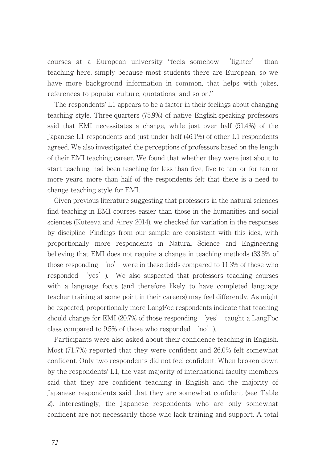courses at a European university "feels somehow 'lighter' than teaching here, simply because most students there are European, so we have more background information in common, that helps with jokes, references to popular culture, quotations, and so on."

The respondents' L1 appears to be a factor in their feelings about changing teaching style. Three-quarters (75.9%) of native English-speaking professors said that EMI necessitates a change, while just over half (51.4%) of the Japanese L1 respondents and just under half (46.1%) of other L1 respondents agreed. We also investigated the perceptions of professors based on the length of their EMI teaching career. We found that whether they were just about to start teaching, had been teaching for less than five, five to ten, or for ten or more years, more than half of the respondents felt that there is a need to change teaching style for EMI.

Given previous literature suggesting that professors in the natural sciences find teaching in EMI courses easier than those in the humanities and social sciences (Kuteeva and Airey 2014), we checked for variation in the responses by discipline. Findings from our sample are consistent with this idea, with proportionally more respondents in Natural Science and Engineering believing that EMI does not require a change in teaching methods (33.3% of those responding 'no' were in these fields compared to 11.3% of those who responded 'yes'). We also suspected that professors teaching courses with a language focus (and therefore likely to have completed language teacher training at some point in their careers) may feel differently. As might be expected, proportionally more LangFoc respondents indicate that teaching should change for EMI (20.7% of those responding 'yes' taught a LangFoc class compared to 9.5% of those who responded 'no').

Participants were also asked about their confidence teaching in English. Most (71.7%) reported that they were confident and 26.0% felt somewhat confident. Only two respondents did not feel confident. When broken down by the respondents' L1, the vast majority of international faculty members said that they are confident teaching in English and the majority of Japanese respondents said that they are somewhat confident (see Table 2). Interestingly, the Japanese respondents who are only somewhat confident are not necessarily those who lack training and support. A total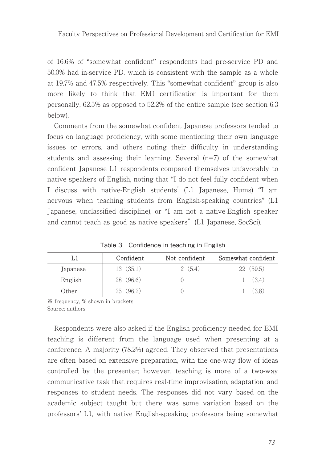of 16.6% of "somewhat confident" respondents had pre-service PD and 50.0% had in-service PD, which is consistent with the sample as a whole at 19.7% and 47.5% respectively. This "somewhat confident" group is also more likely to think that EMI certification is important for them personally, 62.5% as opposed to 52.2% of the entire sample (see section 6.3 below).

Comments from the somewhat confident Japanese professors tended to focus on language proficiency, with some mentioning their own language issues or errors, and others noting their difficulty in understanding students and assessing their learning. Several (n=7) of the somewhat confident Japanese L1 respondents compared themselves unfavorably to native speakers of English, noting that "I do not feel fully confident when I discuss with native-English students"(L1 Japanese, Hums) "I am nervous when teaching students from English-speaking countries" (L1 Japanese, unclassified discipline), or "I am not a native-English speaker and cannot teach as good as native speakers"(L1 Japanese, SocSci).

| L1       | Confident    | Not confident | Somewhat confident |
|----------|--------------|---------------|--------------------|
| Japanese | 13 (35.1)    | (5.4)         | (59.5)<br>ソツー      |
| English  | (96.6)<br>28 |               | (34)               |
| Other    | 962          |               | 38                 |

Table 3 Confidence in teaching in English

䈜 frequency, % shown in brackets Source: authors

Respondents were also asked if the English proficiency needed for EMI teaching is different from the language used when presenting at a conference. A majority (78.2%) agreed. They observed that presentations are often based on extensive preparation, with the one-way flow of ideas controlled by the presenter; however, teaching is more of a two-way communicative task that requires real-time improvisation, adaptation, and responses to student needs. The responses did not vary based on the academic subject taught but there was some variation based on the professors' L1, with native English-speaking professors being somewhat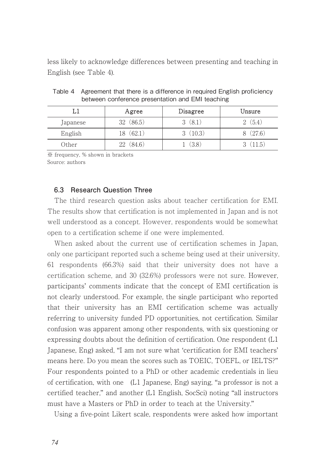less likely to acknowledge differences between presenting and teaching in English (see Table 4).

|          | Agree        |        | Unsure |  |
|----------|--------------|--------|--------|--|
| Japanese | (86.5)<br>32 | (8.1)  | (5.4)  |  |
| English  | (62.1)<br>18 | (10.3) | (27.6) |  |
| Other    | (84.6)<br>22 | (3.8)  | 11.5   |  |

Table 4 Agreement that there is a difference in required English proficiency between conference presentation and EMI teaching

䈜 frequency, % shown in brackets Source: authors

## **6.3 Research Question Three**

The third research question asks about teacher certification for EMI. The results show that certification is not implemented in Japan and is not well understood as a concept. However, respondents would be somewhat open to a certification scheme if one were implemented.

When asked about the current use of certification schemes in Japan, only one participant reported such a scheme being used at their university, 61 respondents (66.3%) said that their university does not have a certification scheme, and 30 (32.6%) professors were not sure. However, participants' comments indicate that the concept of EMI certification is not clearly understood. For example, the single participant who reported that their university has an EMI certification scheme was actually referring to university funded PD opportunities, not certification. Similar confusion was apparent among other respondents, with six questioning or expressing doubts about the definition of certification. One respondent (L1 Japanese, Eng) asked, "I am not sure what 'certification for EMI teachers' means here. Do you mean the scores such as TOEIC, TOEFL, or IELTS?" Four respondents pointed to a PhD or other academic credentials in lieu of certification, with one (L1 Japanese, Eng) saying, "a professor is not a certified teacher," and another (L1 English, SocSci) noting "all instructors must have a Masters or PhD in order to teach at the University."

Using a five-point Likert scale, respondents were asked how important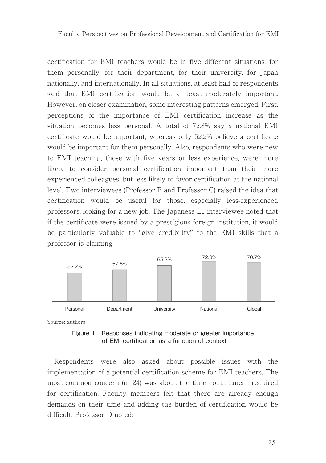certification for EMI teachers would be in five different situations: for them personally, for their department, for their university, for Japan nationally, and internationally. In all situations, at least half of respondents said that EMI certification would be at least moderately important. However, on closer examination, some interesting patterns emerged. First, perceptions of the importance of EMI certification increase as the situation becomes less personal. A total of 72.8% say a national EMI certificate would be important, whereas only 52.2% believe a certificate would be important for them personally. Also, respondents who were new to EMI teaching, those with five years or less experience, were more likely to consider personal certification important than their more experienced colleagues, but less likely to favor certification at the national level. Two interviewees (Professor B and Professor C) raised the idea that certification would be useful for those, especially less-experienced professors, looking for a new job. The Japanese L1 interviewee noted that if the certificate were issued by a prestigious foreign institution, it would be particularly valuable to "give credibility" to the EMI skills that a professor is claiming.



Source: authors



Respondents were also asked about possible issues with the implementation of a potential certification scheme for EMI teachers. The most common concern (n=24) was about the time commitment required for certification. Faculty members felt that there are already enough demands on their time and adding the burden of certification would be difficult. Professor D noted: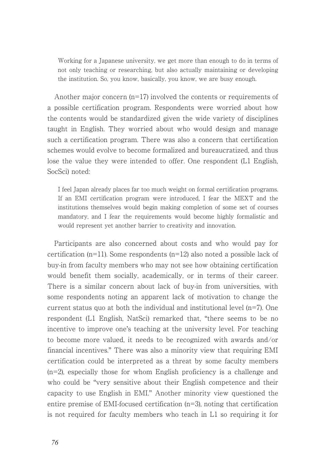Working for a Japanese university, we get more than enough to do in terms of not only teaching or researching, but also actually maintaining or developing the institution. So, you know, basically, you know, we are busy enough.

Another major concern  $(n=17)$  involved the contents or requirements of a possible certification program. Respondents were worried about how the contents would be standardized given the wide variety of disciplines taught in English. They worried about who would design and manage such a certification program. There was also a concern that certification schemes would evolve to become formalized and bureaucratized, and thus lose the value they were intended to offer. One respondent (L1 English, SocSci) noted:

I feel Japan already places far too much weight on formal certification programs. If an EMI certification program were introduced, I fear the MEXT and the institutions themselves would begin making completion of some set of courses mandatory, and I fear the requirements would become highly formalistic and would represent yet another barrier to creativity and innovation.

Participants are also concerned about costs and who would pay for certification (n=11). Some respondents (n=12) also noted a possible lack of buy-in from faculty members who may not see how obtaining certification would benefit them socially, academically, or in terms of their career. There is a similar concern about lack of buy-in from universities, with some respondents noting an apparent lack of motivation to change the current status quo at both the individual and institutional level (n=7). One respondent (L1 English, NatSci) remarked that, "there seems to be no incentive to improve one's teaching at the university level. For teaching to become more valued, it needs to be recognized with awards and/or financial incentives." There was also a minority view that requiring EMI certification could be interpreted as a threat by some faculty members (n=2), especially those for whom English proficiency is a challenge and who could be "very sensitive about their English competence and their capacity to use English in EMI." Another minority view questioned the entire premise of EMI-focused certification (n=3), noting that certification is not required for faculty members who teach in L1 so requiring it for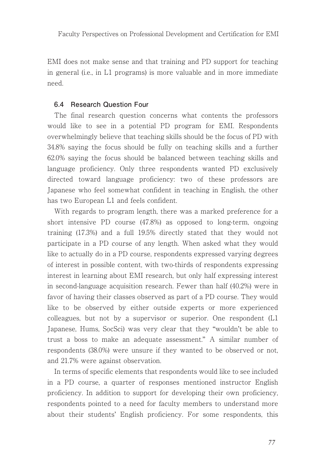EMI does not make sense and that training and PD support for teaching in general (i.e., in L1 programs) is more valuable and in more immediate need.

#### **6.4 Research Question Four**

The final research question concerns what contents the professors would like to see in a potential PD program for EMI. Respondents overwhelmingly believe that teaching skills should be the focus of PD with 34.8% saying the focus should be fully on teaching skills and a further 62.0% saying the focus should be balanced between teaching skills and language proficiency. Only three respondents wanted PD exclusively directed toward language proficiency: two of these professors are Japanese who feel somewhat confident in teaching in English, the other has two European L1 and feels confident.

With regards to program length, there was a marked preference for a short intensive PD course (47.8%) as opposed to long-term, ongoing training (17.3%) and a full 19.5% directly stated that they would not participate in a PD course of any length. When asked what they would like to actually do in a PD course, respondents expressed varying degrees of interest in possible content, with two-thirds of respondents expressing interest in learning about EMI research, but only half expressing interest in second-language acquisition research. Fewer than half (40.2%) were in favor of having their classes observed as part of a PD course. They would like to be observed by either outside experts or more experienced colleagues, but not by a supervisor or superior. One respondent (L1 Japanese, Hums, SocSci) was very clear that they "wouldn't be able to trust a boss to make an adequate assessment." A similar number of respondents (38.0%) were unsure if they wanted to be observed or not, and 21.7% were against observation.

In terms of specific elements that respondents would like to see included in a PD course, a quarter of responses mentioned instructor English proficiency. In addition to support for developing their own proficiency, respondents pointed to a need for faculty members to understand more about their students' English proficiency. For some respondents, this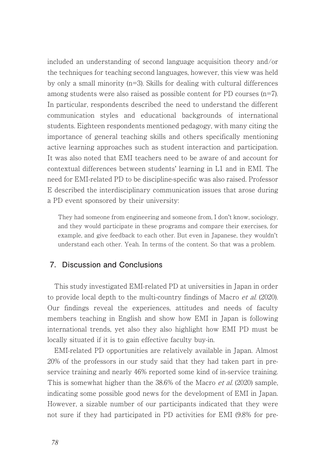included an understanding of second language acquisition theory and/or the techniques for teaching second languages, however, this view was held by only a small minority (n=3). Skills for dealing with cultural differences among students were also raised as possible content for PD courses (n=7). In particular, respondents described the need to understand the different communication styles and educational backgrounds of international students. Eighteen respondents mentioned pedagogy, with many citing the importance of general teaching skills and others specifically mentioning active learning approaches such as student interaction and participation. It was also noted that EMI teachers need to be aware of and account for contextual differences between students' learning in L1 and in EMI. The need for EMI-related PD to be discipline-specific was also raised. Professor E described the interdisciplinary communication issues that arose during a PD event sponsored by their university:

They had someone from engineering and someone from, I don't know, sociology, and they would participate in these programs and compare their exercises, for example, and give feedback to each other. But even in Japanese, they wouldn't understand each other. Yeah. In terms of the content. So that was a problem.

## **7.Discussion and Conclusions**

This study investigated EMI-related PD at universities in Japan in order to provide local depth to the multi-country findings of Macro et al. (2020). Our findings reveal the experiences, attitudes and needs of faculty members teaching in English and show how EMI in Japan is following international trends, yet also they also highlight how EMI PD must be locally situated if it is to gain effective faculty buy-in.

EMI-related PD opportunities are relatively available in Japan. Almost 20% of the professors in our study said that they had taken part in preservice training and nearly 46% reported some kind of in-service training. This is somewhat higher than the 38.6% of the Macro *et al.* (2020) sample, indicating some possible good news for the development of EMI in Japan. However, a sizable number of our participants indicated that they were not sure if they had participated in PD activities for EMI (9.8% for pre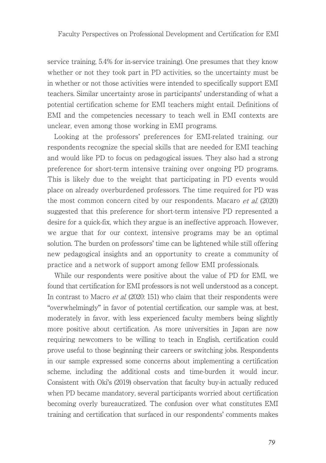service training, 5.4% for in-service training). One presumes that they know whether or not they took part in PD activities, so the uncertainty must be in whether or not those activities were intended to specifically support EMI teachers. Similar uncertainty arose in participants' understanding of what a potential certification scheme for EMI teachers might entail. Definitions of EMI and the competencies necessary to teach well in EMI contexts are unclear, even among those working in EMI programs.

Looking at the professors' preferences for EMI-related training, our respondents recognize the special skills that are needed for EMI teaching and would like PD to focus on pedagogical issues. They also had a strong preference for short-term intensive training over ongoing PD programs. This is likely due to the weight that participating in PD events would place on already overburdened professors. The time required for PD was the most common concern cited by our respondents. Macaro et al. (2020) suggested that this preference for short-term intensive PD represented a desire for a quick-fix, which they argue is an ineffective approach. However, we argue that for our context, intensive programs may be an optimal solution. The burden on professors' time can be lightened while still offering new pedagogical insights and an opportunity to create a community of practice and a network of support among fellow EMI professionals.

While our respondents were positive about the value of PD for EMI, we found that certification for EMI professors is not well understood as a concept. In contrast to Macro *et al.* (2020: 151) who claim that their respondents were "overwhelmingly" in favor of potential certification, our sample was, at best, moderately in favor, with less experienced faculty members being slightly more positive about certification. As more universities in Japan are now requiring newcomers to be willing to teach in English, certification could prove useful to those beginning their careers or switching jobs. Respondents in our sample expressed some concerns about implementing a certification scheme, including the additional costs and time-burden it would incur. Consistent with Oki's (2019) observation that faculty buy-in actually reduced when PD became mandatory, several participants worried about certification becoming overly bureaucratized. The confusion over what constitutes EMI training and certification that surfaced in our respondents' comments makes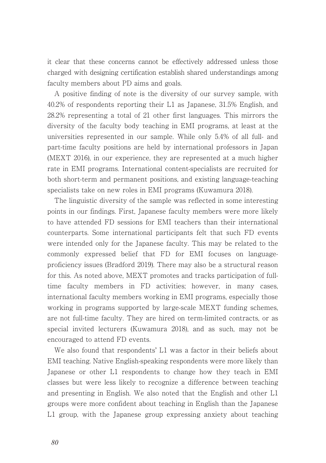it clear that these concerns cannot be effectively addressed unless those charged with designing certification establish shared understandings among faculty members about PD aims and goals.

A positive finding of note is the diversity of our survey sample, with 40.2% of respondents reporting their L1 as Japanese, 31.5% English, and 28.2% representing a total of 21 other first languages. This mirrors the diversity of the faculty body teaching in EMI programs, at least at the universities represented in our sample. While only 5.4% of all full- and part-time faculty positions are held by international professors in Japan (MEXT 2016), in our experience, they are represented at a much higher rate in EMI programs. International content-specialists are recruited for both short-term and permanent positions, and existing language-teaching specialists take on new roles in EMI programs (Kuwamura 2018).

The linguistic diversity of the sample was reflected in some interesting points in our findings. First, Japanese faculty members were more likely to have attended FD sessions for EMI teachers than their international counterparts. Some international participants felt that such FD events were intended only for the Japanese faculty. This may be related to the commonly expressed belief that FD for EMI focuses on languageproficiency issues (Bradford 2019). There may also be a structural reason for this. As noted above, MEXT promotes and tracks participation of fulltime faculty members in FD activities; however, in many cases, international faculty members working in EMI programs, especially those working in programs supported by large-scale MEXT funding schemes, are not full-time faculty. They are hired on term-limited contracts, or as special invited lecturers (Kuwamura 2018), and as such, may not be encouraged to attend FD events.

We also found that respondents' L1 was a factor in their beliefs about EMI teaching. Native English-speaking respondents were more likely than Japanese or other L1 respondents to change how they teach in EMI classes but were less likely to recognize a difference between teaching and presenting in English. We also noted that the English and other L1 groups were more confident about teaching in English than the Japanese L1 group, with the Japanese group expressing anxiety about teaching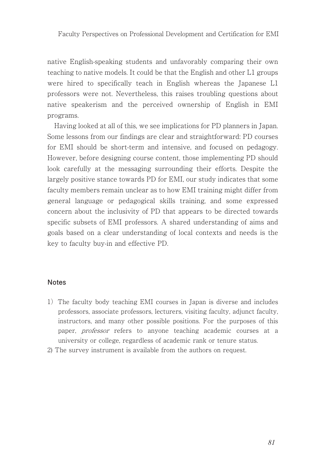native English-speaking students and unfavorably comparing their own teaching to native models. It could be that the English and other L1 groups were hired to specifically teach in English whereas the Japanese L1 professors were not. Nevertheless, this raises troubling questions about native speakerism and the perceived ownership of English in EMI programs.

Having looked at all of this, we see implications for PD planners in Japan. Some lessons from our findings are clear and straightforward: PD courses for EMI should be short-term and intensive, and focused on pedagogy. However, before designing course content, those implementing PD should look carefully at the messaging surrounding their efforts. Despite the largely positive stance towards PD for EMI, our study indicates that some faculty members remain unclear as to how EMI training might differ from general language or pedagogical skills training, and some expressed concern about the inclusivity of PD that appears to be directed towards specific subsets of EMI professors. A shared understanding of aims and goals based on a clear understanding of local contexts and needs is the key to faculty buy-in and effective PD.

#### **Notes**

- 1) The faculty body teaching EMI courses in Japan is diverse and includes professors, associate professors, lecturers, visiting faculty, adjunct faculty, instructors, and many other possible positions. For the purposes of this paper, professor refers to anyone teaching academic courses at a university or college, regardless of academic rank or tenure status.
- 2) The survey instrument is available from the authors on request.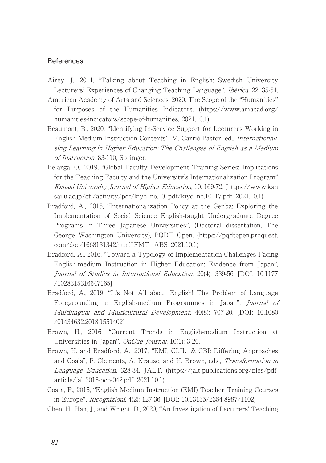#### **References**

- Airey, J., 2011, "Talking about Teaching in English: Swedish University Lecturers' Experiences of Changing Teaching Language", Ibérica, 22: 35-54.
- American Academy of Arts and Sciences, 2020, The Scope of the "Humanities" for Purposes of the Humanities Indicators. (https://www.amacad.org/ humanities-indicators/scope-of-humanities, 2021.10.1)
- Beaumont, B., 2020, "Identifying In-Service Support for Lecturers Working in English Medium Instruction Contexts", M. Carrió-Pastor, ed., Internationalising Learning in Higher Education: The Challenges of English as a Medium of Instruction, 83-110, Springer.
- Belarga, O., 2019, "Global Faculty Development Training Series: Implications for the Teaching Faculty and the University's Internationalization Program", Kansai University Journal of Higher Education, 10: 169-72. (https://www.kan sai-u.ac.jp/ctl/activity/pdf/kiyo\_no.10\_pdf/kiyo\_no.10\_17.pdf, 2021.10.1)
- Bradford, A., 2015, "Internationalization Policy at the Genba: Exploring the Implementation of Social Science English-taught Undergraduate Degree Programs in Three Japanese Universities", (Doctoral dissertation, The George Washington University), PQDT Open. (https://pqdtopen.proquest. com/doc/1668131342.html?FMT=ABS, 2021.10.1)
- Bradford, A., 2016, "Toward a Typology of Implementation Challenges Facing English-medium Instruction in Higher Education: Evidence from Japan", Journal of Studies in International Education, 20(4): 339-56. [DOI: 10.1177 /1028315316647165]
- Bradford, A., 2019, "It's Not All about English! The Problem of Language Foregrounding in English-medium Programmes in Japan", Journal of Multilingual and Multicultural Development, 40(8): 707-20. [DOI: 10.1080 /01434632.2018.1551402]
- Brown, H., 2016, "Current Trends in English-medium Instruction at Universities in Japan", OnCue Journal, 10(1): 3-20.
- Brown, H. and Bradford, A., 2017, "EMI, CLIL, & CBI: Differing Approaches and Goals", P. Clements, A. Krause, and H. Brown, eds., Transformation in Language Education, 328-34, JALT. (https://jalt-publications.org/files/pdfarticle/jalt2016-pcp-042.pdf, 2021.10.1)
- Costa, F., 2015, "English Medium Instruction (EMI) Teacher Training Courses in Europe", Ricognizioni, 4(2): 127-36. [DOI: 10.13135/2384-8987/1102]
- Chen, H., Han, J., and Wright, D., 2020, "An Investigation of Lecturers' Teaching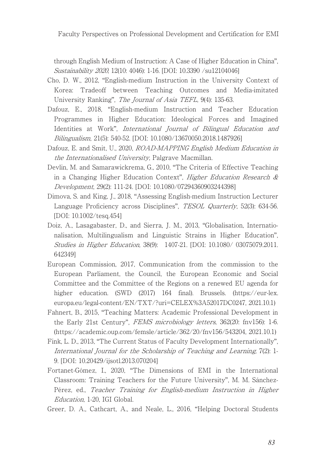through English Medium of Instruction: A Case of Higher Education in China", Sustainability 2020, 12(10: 4046): 1-16. [DOI: 10.3390 /su12104046]

- Cho, D. W., 2012, "English-medium Instruction in the University Context of Korea: Tradeoff between Teaching Outcomes and Media-imitated University Ranking", The Journal of Asia TEFL, 9(4): 135-63.
- Dafouz, E., 2018, "English-medium Instruction and Teacher Education Programmes in Higher Education: Ideological Forces and Imagined Identities at Work", International Journal of Bilingual Education and Bilingualism, 21(5): 540-52. [DOI: 10.1080/13670050.2018.1487926]
- Dafouz, E. and Smit, U., 2020, ROAD-MAPPING English Medium Education in the Internationalised University, Palgrave Macmillan.
- Devlin, M. and Samarawickrema, G., 2010, "The Criteria of Effective Teaching in a Changing Higher Education Context", Higher Education Research & Development, 29(2): 111-24. [DOI: 10.1080/07294360903244398]
- Dimova, S. and King, J., 2018, "Assessing English-medium Instruction Lecturer Language Proficiency across Disciplines", TESOL Quarterly, 52(3): 634-56. [DOI: 10.1002/tesq.454]
- Doiz, A., Lasagabaster, D., and Sierra, J. M., 2013, "Globalisation, Internationalisation, Multilingualism and Linguistic Strains in Higher Education", Studies in Higher Education, 38(9): 1407-21. [DOI: 10.1080/ 03075079.2011. 642349]
- European Commission, 2017, Communication from the commission to the European Parliament, the Council, the European Economic and Social Committee and the Committee of the Regions on a renewed EU agenda for higher education. (SWD (2017) 164 final). Brussels. (https://eur-lex. europa.eu/legal-content/EN/TXT/?uri=CELEX%3A52017DC0247, 2021.10.1)
- Fahnert, B., 2015, "Teaching Matters: Academic Professional Development in the Early 21st Century", FEMS microbiology letters, 362(20: fnv156): 1-6. (https://academic.oup.com/femsle/article/362/20/fnv156/543204, 2021.10.1)
- Fink, L. D., 2013, "The Current Status of Faculty Development Internationally", International Journal for the Scholarship of Teaching and Learning, 7(2): 1- 9. [DOI: 10.20429/ijsotl.2013.070204]
- Fortanet-Gómez, I., 2020, "The Dimensions of EMI in the International Classroom: Training Teachers for the Future University", M. M. Sánchez-Pérez, ed., Teacher Training for English-medium Instruction in Higher Education, 1-20, IGI Global.
- Greer, D. A., Cathcart, A., and Neale, L., 2016, "Helping Doctoral Students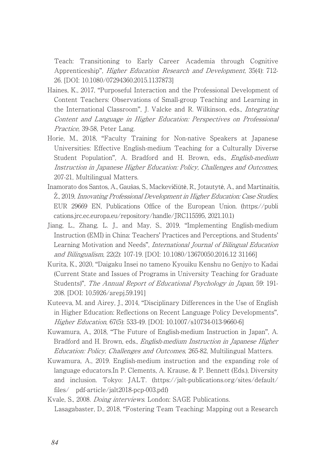Teach: Transitioning to Early Career Academia through Cognitive Apprenticeship", Higher Education Research and Development, 35(4): 712- 26. [DOI: 10.1080/07294360.2015.1137873]

- Haines, K., 2017, "Purposeful Interaction and the Professional Development of Content Teachers: Observations of Small-group Teaching and Learning in the International Classroom", J. Valcke and R. Wilkinson, eds., Integrating Content and Language in Higher Education: Perspectives on Professional Practice, 39-58, Peter Lang.
- Horie, M., 2018, "Faculty Training for Non-native Speakers at Japanese Universities: Effective English-medium Teaching for a Culturally Diverse Student Population", A. Bradford and H. Brown, eds., *English-medium* Instruction in Japanese Higher Education: Policy, Challenges and Outcomes, 207-21, Multilingual Matters.
- Inamorato dos Santos, A., Gaušas, S., Mackevičiūtė, R., Jotautytė, A., and Martinaitis, Ž., 2019, Innovating Professional Development in Higher Education: Case Studies, EUR 29669 EN, Publications Office of the European Union. (https://publi cations.jrc.ec.europa.eu/repository/handle/JRC115595, 2021.10.1)
- Jiang, L., Zhang, L. J., and May, S., 2019, "Implementing English-medium Instruction (EMI) in China: Teachers' Practices and Perceptions, and Students' Learning Motivation and Needs", *International Journal of Bilingual Education* and Bilingualism, 22(2): 107-19. [DOI: 10.1080/13670050.2016.12 31166]
- Kurita, K., 2020, "Daigaku Insei no tameno Kyouiku Kenshu no Genjyo to Kadai (Current State and Issues of Programs in University Teaching for Graduate Students)", The Annual Report of Educational Psychology in Japan, 59: 191- 208. [DOI: 10.5926/arepj.59.191]
- Kuteeva, M. and Airey, J., 2014, "Disciplinary Differences in the Use of English in Higher Education: Reflections on Recent Language Policy Developments", Higher Education, 67(5): 533-49. [DOI: 10.1007/s10734-013-9660-6]
- Kuwamura, A., 2018, "The Future of English-medium Instruction in Japan", A. Bradford and H. Brown, eds., *English-medium Instruction in Japanese Higher* Education: Policy, Challenges and Outcomes, 265-82, Multilingual Matters.
- Kuwamura, A., 2019. English-medium instruction and the expanding role of language educators.In P. Clements, A. Krause, & P. Bennett (Eds.), Diversity and inclusion. Tokyo: JALT. (https://jalt-publications.org/sites/default/ files/ pdf-article/jalt2018-pcp-003.pdf)
- Kvale, S., 2008. Doing interviews. London: SAGE Publications. Lasagabaster, D., 2018, "Fostering Team Teaching: Mapping out a Research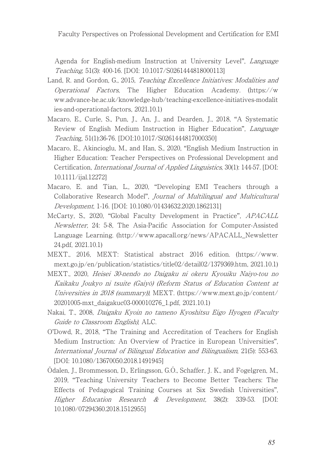Faculty Perspectives on Professional Development and Certification for EMI

Agenda for English-medium Instruction at University Level", Language Teaching, 51(3): 400-16. [DOI: 10.1017/S0261444818000113]

- Land, R. and Gordon, G., 2015, Teaching Excellence Initiatives: Modalities and Operational Factors, The Higher Education Academy. (https://w ww.advance-he.ac.uk/knowledge-hub/teaching-excellence-initiatives-modalit ies-and-operational-factors, 2021.10.1)
- Macaro, E., Curle, S., Pun, J., An, J., and Dearden, J., 2018, "A Systematic Review of English Medium Instruction in Higher Education", Language Teaching, 51(1):36-76. [DOI:10.1017/S0261444817000350]
- Macaro, E., Akincioglu, M., and Han, S., 2020, "English Medium Instruction in Higher Education: Teacher Perspectives on Professional Development and Certification, International Journal of Applied Linguistics, 30(1): 144-57. [DOI: 10.1111/ijal.12272]
- Macaro, E. and Tian, L., 2020, "Developing EMI Teachers through a Collaborative Research Model", Journal of Multilingual and Multicultural Development, 1-16. [DOI: 10.1080/01434632.2020.1862131]
- McCarty, S., 2020, "Global Faculty Development in Practice", APACALL Newsletter, 24: 5-8, The Asia-Pacific Association for Computer-Assisted Language Learning. (http://www.apacall.org/news/APACALL\_Newsletter 24.pdf, 2021.10.1)
- MEXT., 2016, MEXT: Statistical abstract 2016 edition. (https://www. mext.go.jp/en/publication/statistics/title02/detail02/1379369.htm, 2021.10.1)
- MEXT., 2020, Heisei 30-nendo no Daigaku ni okeru Kyouiku Naiyo-tou no Kaikaku Joukyo ni tsuite (Gaiyō) (Reform Status of Education Content at Universities in 2018 (summary)), MEXT. (https://www.mext.go.jp/content/ 20201005-mxt\_daigakuc03-000010276\_1.pdf, 2021.10.1)
- Nakai, T., 2008, Daigaku Kyoin no tameno Kyoshitsu Eigo Hyogen (Faculty Guide to Classroom English), ALC.
- O'Dowd, R., 2018, "The Training and Accreditation of Teachers for English Medium Instruction: An Overview of Practice in European Universities", International Journal of Bilingual Education and Bilingualism, 21(5): 553-63. [DOI: 10.1080/13670050.2018.1491945]
- Ödalen, J., Brommesson, D., Erlingsson, G.Ó., Schaffer, J. K., and Fogelgren, M., 2019, "Teaching University Teachers to Become Better Teachers: The Effects of Pedagogical Training Courses at Six Swedish Universities", Higher Education Research & Development, 38(2): 339-53. [DOI: 10.1080/07294360.2018.1512955]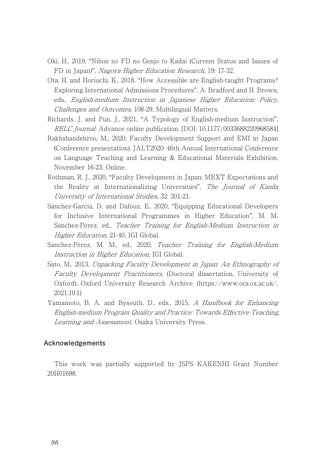- Oki, H., 2019, "Nihon no FD no Genjo to Kadai (Current Status and Issues of FD in Japan)", Nagoya Higher Education Research, 19: 17-32.
- Ota, H. and Horiuchi, K., 2018, "How Accessible are English-taught Programs? Exploring International Admissions Procedures", A. Bradford and H. Brown, eds., English-medium Instruction in Japanese Higher Education: Policy, Challenges and Outcomes, 108-29, Multilingual Matters.
- Richards, J. and Pun, J., 2021, "A Typology of English-medium Instruction", RELC Journal. Advance online publication. [DOI: 10.1177/0033688220968584]
- Rakhshandehroo, M., 2020, Faculty Development Support and EMI in Japan (Conference presentation), JALT2020: 46th Annual International Conference on Language Teaching and Learning & Educational Materials Exhibition, November 16-23, Online.
- Rothman, R. J., 2020, "Faculty Development in Japan: MEXT Expectations and the Reality at Internationalizing Universities", The Journal of Kanda University of International Studies, 32: 301-21.
- Sánchez-García, D. and Dafouz, E., 2020, "Equipping Educational Developers for Inclusive International Programmes in Higher Education", M. M. Sánchez-Pérez, ed., Teacher Training for English-Medium Instruction in Higher Education, 21-40, IGI Global.
- Sánchez-Pérez, M. M., ed., 2020, Teacher Training for English-Medium Instruction in Higher Education, IGI Global.
- Sato, M., 2013, Unpacking Faculty Development in Japan: An Ethnography of Faculty Development Practitioners, (Doctoral dissertation, University of Oxford), Oxford University Research Archive. (https://www.ora.ox.ac.uk/, 2021.10.1)
- Yamamoto, B. A. and Bysouth, D., eds., 2015, A Handbook for Enhancing English-medium Program Quality and Practice: Towards Effective Teaching, Learning and Assessment, Osaka University Press.

#### **Acknowledgements**

This work was partially supported by JSPS KAKENHI Grant Number 20H01698.